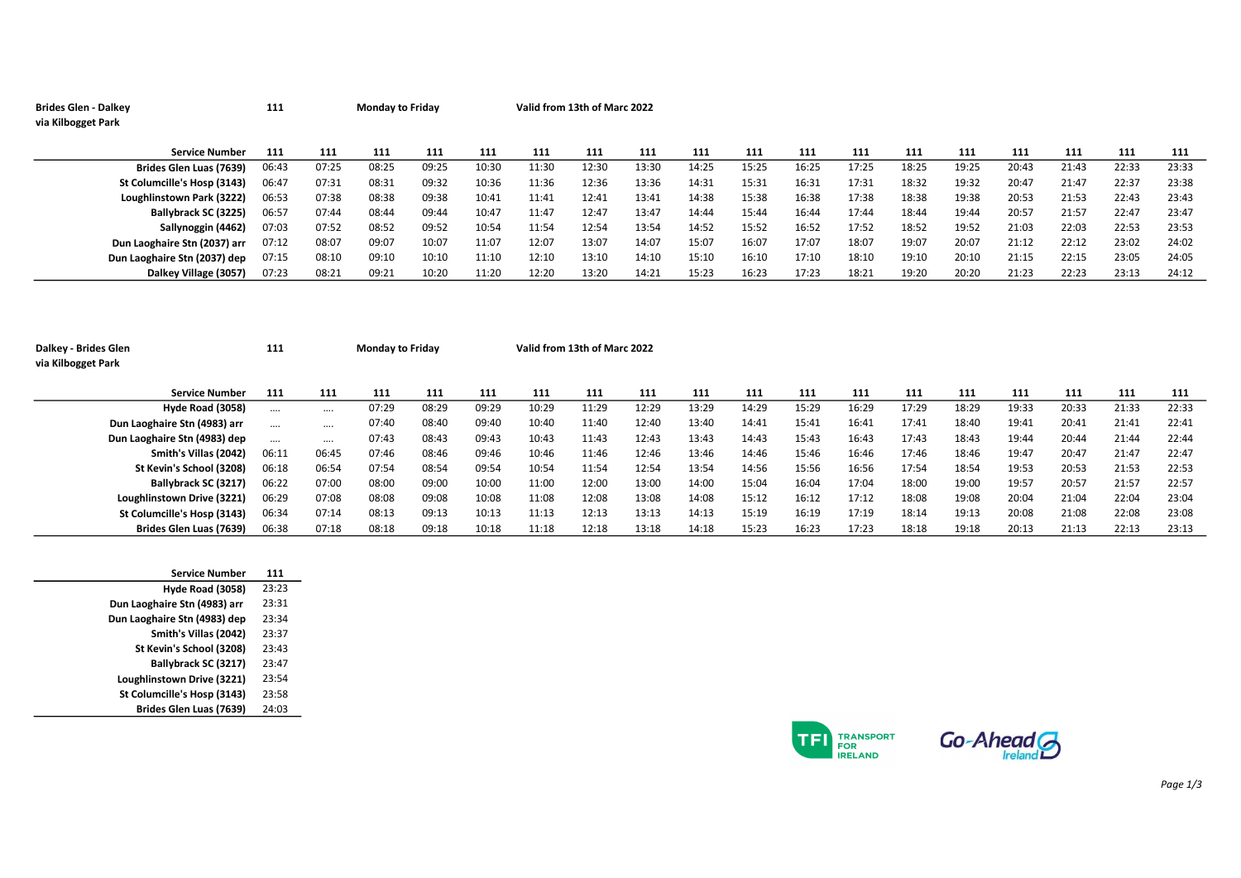| <b>Brides Glen - Dalkey</b><br>via Kilbogget Park | 111   |       | <b>Monday to Friday</b> |       |       | Valid from 13th of Marc 2022 |       |       |       |       |       |       |       |       |       |       |       |       |
|---------------------------------------------------|-------|-------|-------------------------|-------|-------|------------------------------|-------|-------|-------|-------|-------|-------|-------|-------|-------|-------|-------|-------|
| <b>Service Number</b>                             | 111   | 111   | 111                     | 111   | 111   | 111                          | 111   | 111   | 111   | 111   | 111   | 111   | 111   | 111   | 111   | 111   | 111   | 111   |
| Brides Glen Luas (7639)                           | 06:43 | 07:25 | 08:25                   | 09:25 | 10:30 | 11:30                        | 12:30 | 13:30 | 14:25 | 15:25 | 16:25 | 17:25 | 18:25 | 19:25 | 20:43 | 21:43 | 22:33 | 23:33 |
| St Columcille's Hosp (3143)                       | 06:47 | 07:31 | 08:31                   | 09:32 | 10:36 | 11:36                        | 12:36 | 13:36 | 14:31 | 15:31 | 16:31 | 17:31 | 18:32 | 19:32 | 20:47 | 21:47 | 22:37 | 23:38 |
| Loughlinstown Park (3222)                         | 06:53 | 07:38 | 08:38                   | 09:38 | 10:41 | 11:41                        | 12:41 | 13:41 | 14:38 | 15:38 | 16:38 | 17:38 | 18:38 | 19:38 | 20:53 | 21:53 | 22:43 | 23:43 |
| Ballybrack SC (3225)                              | 06:57 | 07:44 | 08:44                   | 09:44 | 10:47 | 11:47                        | 12:47 | 13:47 | 14:44 | 15:44 | 16:44 | 17:44 | 18:44 | 19:44 | 20:57 | 21:57 | 22:47 | 23:47 |
| Sallynoggin (4462)                                | 07:03 | 07:52 | 08:52                   | 09:52 | 10:54 | 11:54                        | 12:54 | 13:54 | 14:52 | 15:52 | 16:52 | 17:52 | 18:52 | 19:52 | 21:03 | 22:03 | 22:53 | 23:53 |
| Dun Laoghaire Stn (2037) arr                      | 07:12 | 08:07 | 09:07                   | 10:07 | 11:07 | 12:07                        | 13:07 | 14:07 | 15:07 | 16:07 | 17:07 | 18:07 | 19:07 | 20:07 | 21:12 | 22:12 | 23:02 | 24:02 |
| Dun Laoghaire Stn (2037) dep                      | 07:15 | 08:10 | 09:10                   | 10:10 | 11:10 | 12:10                        | 13:10 | 14:10 | 15:10 | 16:10 | 17:10 | 18:10 | 19:10 | 20:10 | 21:15 | 22:15 | 23:05 | 24:05 |
| Dalkey Village (3057)                             | 07:23 | 08:21 | 09:21                   | 10:20 | 11:20 | 12:20                        | 13:20 | 14:21 | 15:23 | 16:23 | 17:23 | 18:21 | 19:20 | 20:20 | 21:23 | 22:23 | 23:13 | 24:12 |
|                                                   |       |       |                         |       |       |                              |       |       |       |       |       |       |       |       |       |       |       |       |

| Dalkey - Brides Glen<br>via Kilbogget Park | 111      |          | <b>Monday to Friday</b> |       |       | Valid from 13th of Marc 2022 |       |       |       |       |       |       |       |       |       |       |       |       |
|--------------------------------------------|----------|----------|-------------------------|-------|-------|------------------------------|-------|-------|-------|-------|-------|-------|-------|-------|-------|-------|-------|-------|
| <b>Service Number</b>                      | 111      | 111      | 111                     | 111   | 111   | 111                          | 111   | 111   | 111   | 111   | 111   | 111   | 111   | 111   | 111   | 111   | 111   | 111   |
| Hyde Road (3058)                           | $\cdots$ |          | 07:29                   | 08:29 | 09:29 | 10:29                        | 11:29 | 12:29 | 13:29 | 14:29 | 15:29 | 16:29 | 17:29 | 18:29 | 19:33 | 20:33 | 21:33 | 22:33 |
| Dun Laoghaire Stn (4983) arr               |          | $\cdots$ | 07:40                   | 08:40 | 09:40 | 10:40                        | 11:40 | 12:40 | 13:40 | 14:41 | 15:41 | 16:41 | 17:41 | 18:40 | 19:41 | 20:41 | 21:41 | 22:41 |
| Dun Laoghaire Stn (4983) dep               | $\cdots$ |          | 07:43                   | 08:43 | 09:43 | 10:43                        | 11:43 | 12:43 | 13:43 | 14:43 | 15:43 | 16:43 | 17:43 | 18:43 | 19:44 | 20:44 | 21:44 | 22:44 |
| Smith's Villas (2042)                      | 06:11    | 06:45    | 07:46                   | 08:46 | 09:46 | 10:46                        | 11:46 | 12:46 | 13:46 | 14:46 | 15:46 | 16:46 | 17:46 | 18:46 | 19:47 | 20:47 | 21:47 | 22:47 |
| St Kevin's School (3208)                   | 06:18    | 06:54    | 07:54                   | 08:54 | 09:54 | 10:54                        | 11:54 | 12:54 | 13:54 | 14:56 | 15:56 | 16:56 | 17:54 | 18:54 | 19:53 | 20:53 | 21:53 | 22:53 |
| Ballybrack SC (3217)                       | 06:22    | 07:00    | 08:00                   | 09:00 | 10:00 | 11:00                        | 12:00 | 13:00 | 14:00 | 15:04 | 16:04 | 17:04 | 18:00 | 19:00 | 19:57 | 20:57 | 21:57 | 22:57 |
| Loughlinstown Drive (3221)                 | 06:29    | 07:08    | 08:08                   | 09:08 | 10:08 | 11:08                        | 12:08 | 13:08 | 14:08 | 15:12 | 16:12 | 17:12 | 18:08 | 19:08 | 20:04 | 21:04 | 22:04 | 23:04 |
| St Columcille's Hosp (3143)                | 06:34    | 07:14    | 08:13                   | 09:13 | 10:13 | 11:13                        | 12:13 | 13:13 | 14:13 | 15:19 | 16:19 | 17:19 | 18:14 | 19:13 | 20:08 | 21:08 | 22:08 | 23:08 |
| Brides Glen Luas (7639)                    | 06:38    | 07:18    | 08:18                   | 09:18 | 10:18 | 11:18                        | 12:18 | 13:18 | 14:18 | 15:23 | 16:23 | 17:23 | 18:18 | 19:18 | 20:13 | 21:13 | 22:13 | 23:13 |

| <b>Service Number</b>        | 111   |
|------------------------------|-------|
| Hyde Road (3058)             | 23:23 |
| Dun Laoghaire Stn (4983) arr | 23:31 |
| Dun Laoghaire Stn (4983) dep | 23:34 |
| Smith's Villas (2042)        | 23:37 |
| St Kevin's School (3208)     | 23:43 |
| Ballybrack SC (3217)         | 73:47 |
| Loughlinstown Drive (3221)   | 23:54 |
| St Columcille's Hosp (3143)  | 23:58 |
| Brides Glen Luas (7639)      | 24:03 |



Page 1/3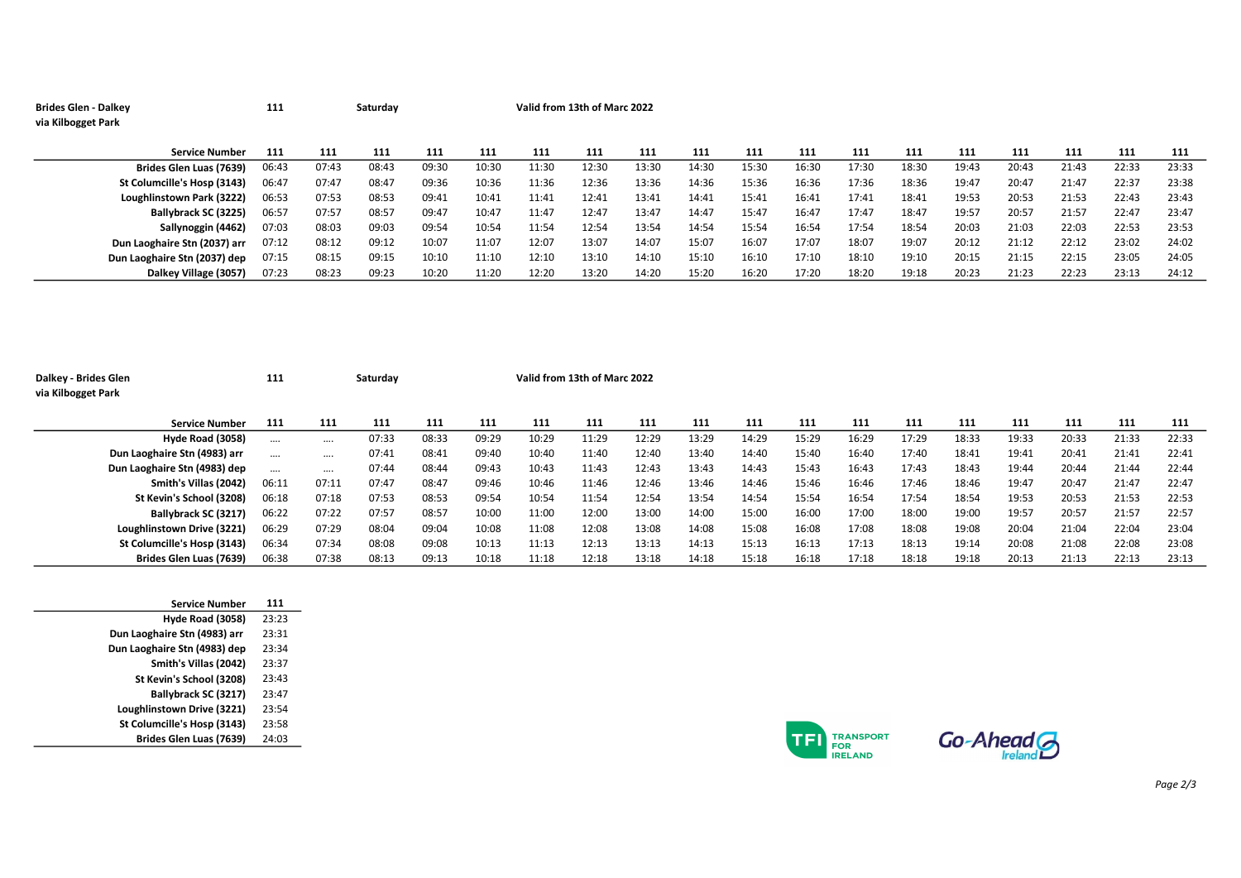| <b>Brides Glen - Dalkey</b>  | 111   |       | Saturday |       |       | Valid from 13th of Marc 2022 |       |       |       |       |       |       |       |       |       |       |       |       |
|------------------------------|-------|-------|----------|-------|-------|------------------------------|-------|-------|-------|-------|-------|-------|-------|-------|-------|-------|-------|-------|
| via Kilbogget Park           |       |       |          |       |       |                              |       |       |       |       |       |       |       |       |       |       |       |       |
|                              |       |       |          |       |       |                              |       |       |       |       |       |       |       |       |       |       |       |       |
| <b>Service Number</b>        | 111   | 111   | 111      | 111   | 111   | 111                          | 111   | 111   | 111   | 111   | 111   | 111   | 111   | 111   | 111   | 111   | 111   | 111   |
| Brides Glen Luas (7639)      | 06:43 | 07:43 | 08:43    | 09:30 | 10:30 | 11:30                        | 12:30 | 13:30 | 14:30 | 15:30 | 16:30 | 17:30 | 18:30 | 19:43 | 20:43 | 21:43 | 22:33 | 23:33 |
| St Columcille's Hosp (3143)  | 06:47 | 07:47 | 08:47    | 09:36 | 10:36 | 11:36                        | 12:36 | 13:36 | 14:36 | 15:36 | 16:36 | 17:36 | 18:36 | 19:47 | 20:47 | 21:47 | 22:37 | 23:38 |
| Loughlinstown Park (3222)    | 06:53 | 07:53 | 08:53    | 09:41 | 10:41 | 11:41                        | 12:41 | 13:41 | 14:41 | 15:41 | 16:41 | 17:41 | 18:41 | 19:53 | 20:53 | 21:53 | 22:43 | 23:43 |
| Ballybrack SC (3225)         | 06:57 | 07:57 | 08:57    | 09:47 | 10:47 | 11:47                        | 12:47 | 13:47 | 14:47 | 15:47 | 16:47 | 17:47 | 18:47 | 19:57 | 20:57 | 21:57 | 22:47 | 23:47 |
| Sallynoggin (4462)           | 07:03 | 08:03 | 09:03    | 09:54 | 10:54 | 11:54                        | 12:54 | 13:54 | 14:54 | 15:54 | 16:54 | 17:54 | 18:54 | 20:03 | 21:03 | 22:03 | 22:53 | 23:53 |
| Dun Laoghaire Stn (2037) arr | 07:12 | 08:12 | 09:12    | 10:07 | 11:07 | 12:07                        | 13:07 | 14:07 | 15:07 | 16:07 | 17:07 | 18:07 | 19:07 | 20:12 | 21:12 | 22:12 | 23:02 | 24:02 |
| Dun Laoghaire Stn (2037) dep | 07:15 | 08:15 | 09:15    | 10:10 | 11:10 | 12:10                        | 13:10 | 14:10 | 15:10 | 16:10 | 17:10 | 18:10 | 19:10 | 20:15 | 21:15 | 22:15 | 23:05 | 24:05 |
| Dalkey Village (3057)        | 07:23 | 08:23 | 09:23    | 10:20 | 11:20 | 12:20                        | 13:20 | 14:20 | 15:20 | 16:20 | 17:20 | 18:20 | 19:18 | 20:23 | 21:23 | 22:23 | 23:13 | 24:12 |

| Dalkey - Brides Glen<br>via Kilbogget Park | 111      |          | Saturday |       |       |       | Valid from 13th of Marc 2022 |       |       |       |       |       |       |       |       |       |       |       |
|--------------------------------------------|----------|----------|----------|-------|-------|-------|------------------------------|-------|-------|-------|-------|-------|-------|-------|-------|-------|-------|-------|
| <b>Service Number</b>                      | 111      | 111      | 111      | 111   | 111   | 111   | 111                          | 111   | 111   | 111   | 111   | 111   | 111   | 111   | 111   | 111   | 111   | 111   |
| Hyde Road (3058)                           |          | $\cdots$ | 07:33    | 08:33 | 09:29 | 10:29 | 11:29                        | 12:29 | 13:29 | 14:29 | 15:29 | 16:29 | 17:29 | 18:33 | 19:33 | 20:33 | 21:33 | 22:33 |
| Dun Laoghaire Stn (4983) arr               | $\cdots$ |          | 07:41    | 08:41 | 09:40 | 10:40 | 11:40                        | 12:40 | 13:40 | 14:40 | 15:40 | 16:40 | 17:40 | 18:41 | 19:41 | 20:41 | 21:41 | 22:41 |
| Dun Laoghaire Stn (4983) dep               |          | $\cdots$ | 07:44    | 08:44 | 09:43 | 10:43 | 11:43                        | 12:43 | 13:43 | 14:43 | 15:43 | 16:43 | 17:43 | 18:43 | 19:44 | 20:44 | 21:44 | 22:44 |
| Smith's Villas (2042)                      | 06:11    | 07:11    | 07:47    | 08:47 | 09:46 | 10:46 | 11:46                        | 12:46 | 13:46 | 14:46 | 15:46 | 16:46 | 17:46 | 18:46 | 19:47 | 20:47 | 21:47 | 22:47 |
| St Kevin's School (3208)                   | 06:18    | 07:18    | 07:53    | 08:53 | 09:54 | 10:54 | 11:54                        | 12:54 | 13:54 | 14:54 | 15:54 | 16:54 | 17:54 | 18:54 | 19:53 | 20:53 | 21:53 | 22:53 |
| Ballybrack SC (3217)                       | 06:22    | 07:22    | 07:57    | 08:57 | 10:00 | 11:00 | 12:00                        | 13:00 | 14:00 | 15:00 | 16:00 | 17:00 | 18:00 | 19:00 | 19:57 | 20:57 | 21:57 | 22:57 |
| Loughlinstown Drive (3221)                 | 06:29    | 07:29    | 08:04    | 09:04 | 10:08 | 11:08 | 12:08                        | 13:08 | 14:08 | 15:08 | 16:08 | 17:08 | 18:08 | 19:08 | 20:04 | 21:04 | 22:04 | 23:04 |
| St Columcille's Hosp (3143)                | 06:34    | 07:34    | 08:08    | 09:08 | 10:13 | 11:13 | 12:13                        | 13:13 | 14:13 | 15:13 | 16:13 | 17:13 | 18:13 | 19:14 | 20:08 | 21:08 | 22:08 | 23:08 |
| Brides Glen Luas (7639)                    | 06:38    | 07:38    | 08:13    | 09:13 | 10:18 | 11:18 | 12:18                        | 13:18 | 14:18 | 15:18 | 16:18 | 17:18 | 18:18 | 19:18 | 20:13 | 21:13 | 22:13 | 23:13 |

| <b>Service Number</b>        | 111   |
|------------------------------|-------|
| Hyde Road (3058)             | 23:23 |
| Dun Laoghaire Stn (4983) arr | 23:31 |
| Dun Laoghaire Stn (4983) dep | 23:34 |
| Smith's Villas (2042)        | 23:37 |
| St Kevin's School (3208)     | 23:43 |
| Ballybrack SC (3217)         | 23:47 |
| Loughlinstown Drive (3221)   | 23:54 |
| St Columcille's Hosp (3143)  | 23:58 |
| Brides Glen Luas (7639)      | 24:03 |